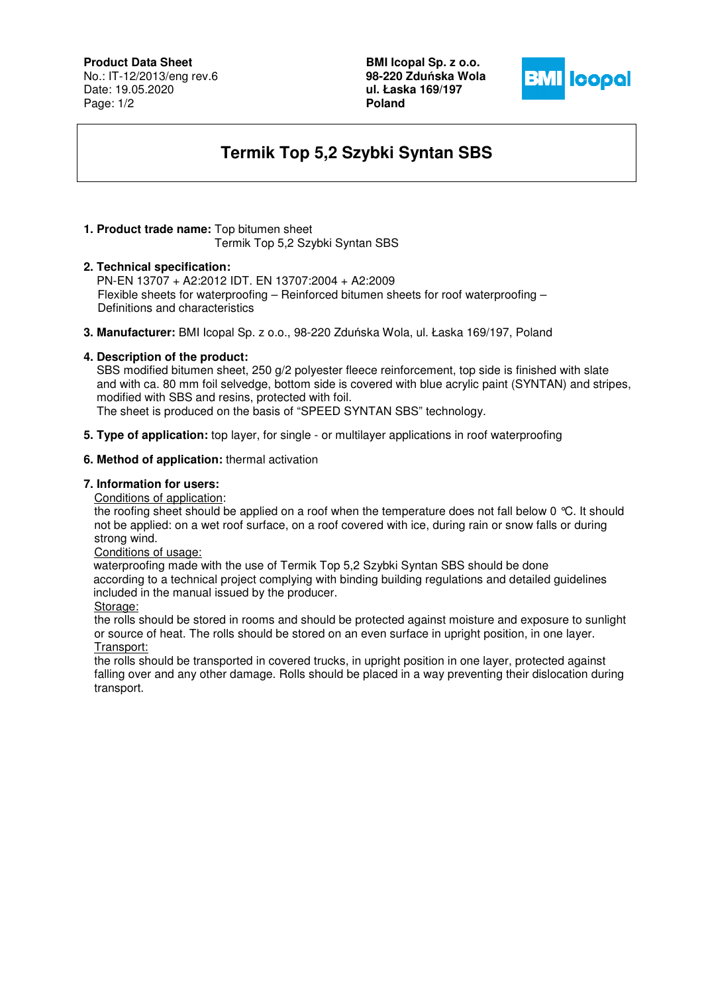# **Product Data Sheet**

No.: IT-12/2013/eng rev.6 Date: 19.05.2020 Page: 1/2

**BMI Icopal Sp. z o.o. 98-220 Zdu**ń**ska Wola ul. Łaska 169/197 Poland** 



# **Termik Top 5,2 Szybki Syntan SBS**

#### **1. Product trade name:** Top bitumen sheet Termik Top 5,2 Szybki Syntan SBS

### **2. Technical specification:**

PN-EN 13707 + A2:2012 IDT. EN 13707:2004 + A2:2009 Flexible sheets for waterproofing – Reinforced bitumen sheets for roof waterproofing – Definitions and characteristics

**3. Manufacturer:** BMI Icopal Sp. z o.o., 98-220 Zduńska Wola, ul. Łaska 169/197, Poland

### **4. Description of the product:**

 SBS modified bitumen sheet, 250 g/2 polyester fleece reinforcement, top side is finished with slate and with ca. 80 mm foil selvedge, bottom side is covered with blue acrylic paint (SYNTAN) and stripes, modified with SBS and resins, protected with foil.

The sheet is produced on the basis of "SPEED SYNTAN SBS" technology.

**5. Type of application:** top layer, for single - or multilayer applications in roof waterproofing

### **6. Method of application:** thermal activation

# **7. Information for users:**

Conditions of application:

the roofing sheet should be applied on a roof when the temperature does not fall below 0 °C. It should not be applied: on a wet roof surface, on a roof covered with ice, during rain or snow falls or during strong wind.

Conditions of usage:

 waterproofing made with the use of Termik Top 5,2 Szybki Syntan SBS should be done according to a technical project complying with binding building regulations and detailed guidelines included in the manual issued by the producer.

Storage:

the rolls should be stored in rooms and should be protected against moisture and exposure to sunlight or source of heat. The rolls should be stored on an even surface in upright position, in one layer. Transport:

the rolls should be transported in covered trucks, in upright position in one layer, protected against falling over and any other damage. Rolls should be placed in a way preventing their dislocation during transport.